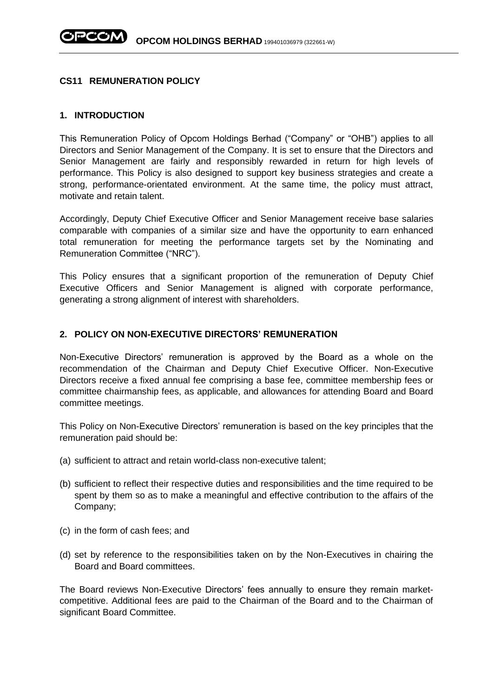### **CS11 REMUNERATION POLICY**

#### **1. INTRODUCTION**

This Remuneration Policy of Opcom Holdings Berhad ("Company" or "OHB") applies to all Directors and Senior Management of the Company. It is set to ensure that the Directors and Senior Management are fairly and responsibly rewarded in return for high levels of performance. This Policy is also designed to support key business strategies and create a strong, performance-orientated environment. At the same time, the policy must attract, motivate and retain talent.

Accordingly, Deputy Chief Executive Officer and Senior Management receive base salaries comparable with companies of a similar size and have the opportunity to earn enhanced total remuneration for meeting the performance targets set by the Nominating and Remuneration Committee ("NRC").

This Policy ensures that a significant proportion of the remuneration of Deputy Chief Executive Officers and Senior Management is aligned with corporate performance, generating a strong alignment of interest with shareholders.

## **2. POLICY ON NON-EXECUTIVE DIRECTORS' REMUNERATION**

Non-Executive Directors' remuneration is approved by the Board as a whole on the recommendation of the Chairman and Deputy Chief Executive Officer. Non-Executive Directors receive a fixed annual fee comprising a base fee, committee membership fees or committee chairmanship fees, as applicable, and allowances for attending Board and Board committee meetings.

This Policy on Non-Executive Directors' remuneration is based on the key principles that the remuneration paid should be:

- (a) sufficient to attract and retain world-class non-executive talent;
- (b) sufficient to reflect their respective duties and responsibilities and the time required to be spent by them so as to make a meaningful and effective contribution to the affairs of the Company;
- (c) in the form of cash fees; and
- (d) set by reference to the responsibilities taken on by the Non-Executives in chairing the Board and Board committees.

The Board reviews Non-Executive Directors' fees annually to ensure they remain marketcompetitive. Additional fees are paid to the Chairman of the Board and to the Chairman of significant Board Committee.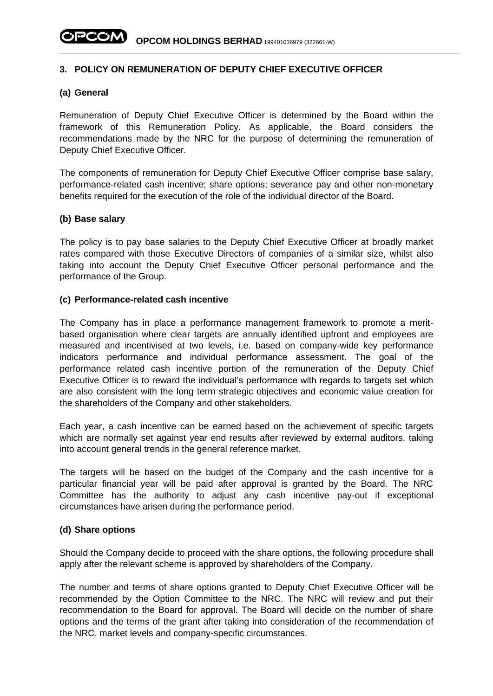# **3. POLICY ON REMUNERATION OF DEPUTY CHIEF EXECUTIVE OFFICER**

### **(a) General**

Remuneration of Deputy Chief Executive Officer is determined by the Board within the framework of this Remuneration Policy. As applicable, the Board considers the recommendations made by the NRC for the purpose of determining the remuneration of Deputy Chief Executive Officer.

The components of remuneration for Deputy Chief Executive Officer comprise base salary, performance-related cash incentive; share options; severance pay and other non-monetary benefits required for the execution of the role of the individual director of the Board.

## **(b) Base salary**

The policy is to pay base salaries to the Deputy Chief Executive Officer at broadly market rates compared with those Executive Directors of companies of a similar size, whilst also taking into account the Deputy Chief Executive Officer personal performance and the performance of the Group.

### **(c) Performance-related cash incentive**

The Company has in place a performance management framework to promote a meritbased organisation where clear targets are annually identified upfront and employees are measured and incentivised at two levels, i.e. based on company-wide key performance indicators performance and individual performance assessment. The goal of the performance related cash incentive portion of the remuneration of the Deputy Chief Executive Officer is to reward the individual's performance with regards to targets set which are also consistent with the long term strategic objectives and economic value creation for the shareholders of the Company and other stakeholders.

Each year, a cash incentive can be earned based on the achievement of specific targets which are normally set against year end results after reviewed by external auditors, taking into account general trends in the general reference market.

The targets will be based on the budget of the Company and the cash incentive for a particular financial year will be paid after approval is granted by the Board. The NRC Committee has the authority to adjust any cash incentive pay-out if exceptional circumstances have arisen during the performance period.

#### **(d) Share options**

Should the Company decide to proceed with the share options, the following procedure shall apply after the relevant scheme is approved by shareholders of the Company.

The number and terms of share options granted to Deputy Chief Executive Officer will be recommended by the Option Committee to the NRC. The NRC will review and put their recommendation to the Board for approval. The Board will decide on the number of share options and the terms of the grant after taking into consideration of the recommendation of the NRC, market levels and company-specific circumstances.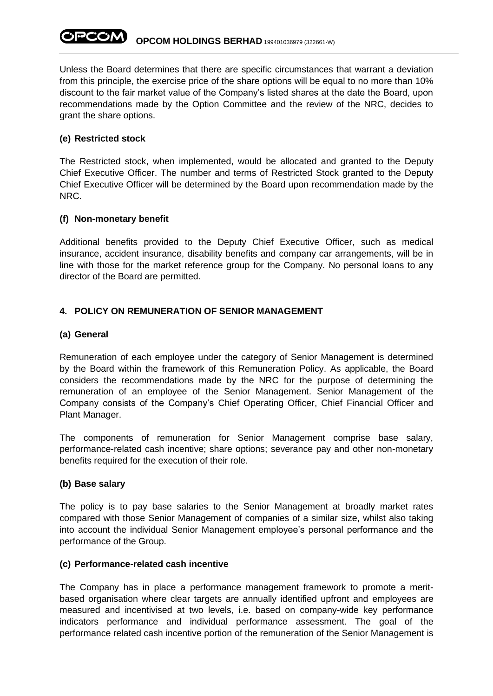Unless the Board determines that there are specific circumstances that warrant a deviation from this principle, the exercise price of the share options will be equal to no more than 10% discount to the fair market value of the Company's listed shares at the date the Board, upon recommendations made by the Option Committee and the review of the NRC, decides to grant the share options.

# **(e) Restricted stock**

The Restricted stock, when implemented, would be allocated and granted to the Deputy Chief Executive Officer. The number and terms of Restricted Stock granted to the Deputy Chief Executive Officer will be determined by the Board upon recommendation made by the NRC.

# **(f) Non-monetary benefit**

Additional benefits provided to the Deputy Chief Executive Officer, such as medical insurance, accident insurance, disability benefits and company car arrangements, will be in line with those for the market reference group for the Company. No personal loans to any director of the Board are permitted.

# **4. POLICY ON REMUNERATION OF SENIOR MANAGEMENT**

# **(a) General**

Remuneration of each employee under the category of Senior Management is determined by the Board within the framework of this Remuneration Policy. As applicable, the Board considers the recommendations made by the NRC for the purpose of determining the remuneration of an employee of the Senior Management. Senior Management of the Company consists of the Company's Chief Operating Officer, Chief Financial Officer and Plant Manager.

The components of remuneration for Senior Management comprise base salary, performance-related cash incentive; share options; severance pay and other non-monetary benefits required for the execution of their role.

## **(b) Base salary**

The policy is to pay base salaries to the Senior Management at broadly market rates compared with those Senior Management of companies of a similar size, whilst also taking into account the individual Senior Management employee's personal performance and the performance of the Group.

## **(c) Performance-related cash incentive**

The Company has in place a performance management framework to promote a meritbased organisation where clear targets are annually identified upfront and employees are measured and incentivised at two levels, i.e. based on company-wide key performance indicators performance and individual performance assessment. The goal of the performance related cash incentive portion of the remuneration of the Senior Management is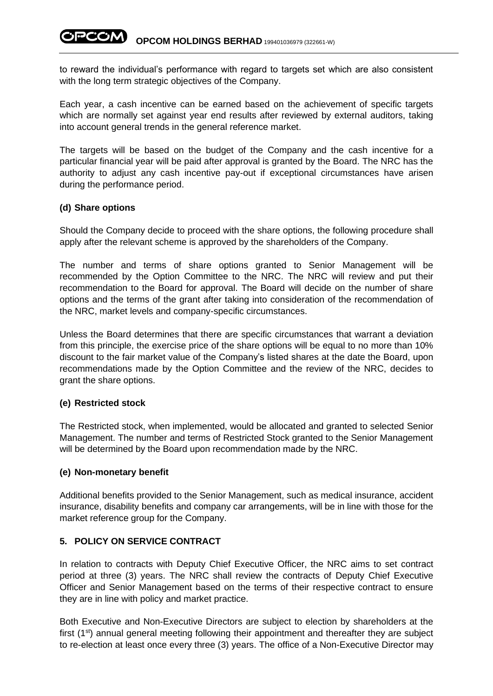to reward the individual's performance with regard to targets set which are also consistent with the long term strategic objectives of the Company.

Each year, a cash incentive can be earned based on the achievement of specific targets which are normally set against year end results after reviewed by external auditors, taking into account general trends in the general reference market.

The targets will be based on the budget of the Company and the cash incentive for a particular financial year will be paid after approval is granted by the Board. The NRC has the authority to adjust any cash incentive pay-out if exceptional circumstances have arisen during the performance period.

## **(d) Share options**

Should the Company decide to proceed with the share options, the following procedure shall apply after the relevant scheme is approved by the shareholders of the Company.

The number and terms of share options granted to Senior Management will be recommended by the Option Committee to the NRC. The NRC will review and put their recommendation to the Board for approval. The Board will decide on the number of share options and the terms of the grant after taking into consideration of the recommendation of the NRC, market levels and company-specific circumstances.

Unless the Board determines that there are specific circumstances that warrant a deviation from this principle, the exercise price of the share options will be equal to no more than 10% discount to the fair market value of the Company's listed shares at the date the Board, upon recommendations made by the Option Committee and the review of the NRC, decides to grant the share options.

## **(e) Restricted stock**

The Restricted stock, when implemented, would be allocated and granted to selected Senior Management. The number and terms of Restricted Stock granted to the Senior Management will be determined by the Board upon recommendation made by the NRC.

## **(e) Non-monetary benefit**

Additional benefits provided to the Senior Management, such as medical insurance, accident insurance, disability benefits and company car arrangements, will be in line with those for the market reference group for the Company.

## **5. POLICY ON SERVICE CONTRACT**

In relation to contracts with Deputy Chief Executive Officer, the NRC aims to set contract period at three (3) years. The NRC shall review the contracts of Deputy Chief Executive Officer and Senior Management based on the terms of their respective contract to ensure they are in line with policy and market practice.

Both Executive and Non-Executive Directors are subject to election by shareholders at the first  $(1<sup>st</sup>)$  annual general meeting following their appointment and thereafter they are subject to re-election at least once every three (3) years. The office of a Non-Executive Director may